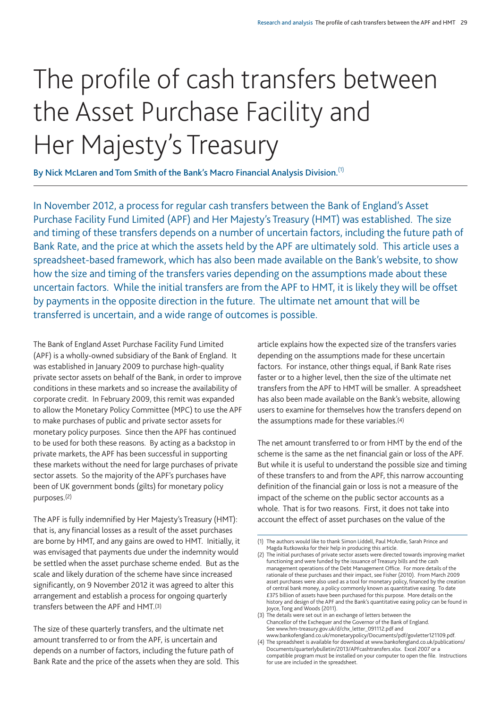# The profile of cash transfers between the Asset Purchase Facility and Her Majesty's Treasury

**By Nick McLaren and Tom Smith of the Bank's Macro Financial Analysis Division.**(1)

In November 2012, a process for regular cash transfers between the Bank of England's Asset Purchase Facility Fund Limited (APF) and Her Majesty's Treasury (HMT) was established. The size and timing of these transfers depends on a number of uncertain factors, including the future path of Bank Rate, and the price at which the assets held by the APF are ultimately sold. This article uses a spreadsheet-based framework, which has also been made available on the Bank's website, to show how the size and timing of the transfers varies depending on the assumptions made about these uncertain factors. While the initial transfers are from the APF to HMT, it is likely they will be offset by payments in the opposite direction in the future. The ultimate net amount that will be transferred is uncertain, and a wide range of outcomes is possible.

The Bank of England Asset Purchase Facility Fund Limited (APF) is a wholly-owned subsidiary of the Bank of England. It was established in January 2009 to purchase high-quality private sector assets on behalf of the Bank, in order to improve conditions in these markets and so increase the availability of corporate credit. In February 2009, this remit was expanded to allow the Monetary Policy Committee (MPC) to use the APF to make purchases of public and private sector assets for monetary policy purposes. Since then the APF has continued to be used for both these reasons. By acting as a backstop in private markets, the APF has been successful in supporting these markets without the need for large purchases of private sector assets. So the majority of the APF's purchases have been of UK government bonds (gilts) for monetary policy purposes.(2)

The APF is fully indemnified by Her Majesty's Treasury (HMT): that is, any financial losses as a result of the asset purchases are borne by HMT, and any gains are owed to HMT. Initially, it was envisaged that payments due under the indemnity would be settled when the asset purchase scheme ended. But as the scale and likely duration of the scheme have since increased significantly, on 9 November 2012 it was agreed to alter this arrangement and establish a process for ongoing quarterly transfers between the APF and HMT.(3)

The size of these quarterly transfers, and the ultimate net amount transferred to or from the APF, is uncertain and depends on a number of factors, including the future path of Bank Rate and the price of the assets when they are sold. This article explains how the expected size of the transfers varies depending on the assumptions made for these uncertain factors. For instance, other things equal, if Bank Rate rises faster or to a higher level, then the size of the ultimate net transfers from the APF to HMT will be smaller. A spreadsheet has also been made available on the Bank's website, allowing users to examine for themselves how the transfers depend on the assumptions made for these variables.(4)

The net amount transferred to or from HMT by the end of the scheme is the same as the net financial gain or loss of the APF. But while it is useful to understand the possible size and timing of these transfers to and from the APF, this narrow accounting definition of the financial gain or loss is not a measure of the impact of the scheme on the public sector accounts as a whole. That is for two reasons. First, it does not take into account the effect of asset purchases on the value of the

<sup>(1)</sup> The authors would like to thank Simon Liddell, Paul McArdle, Sarah Prince and Magda Rutkowska for their help in producing this article.

<sup>(2)</sup> The initial purchases of private sector assets were directed towards improving market functioning and were funded by the issuance of Treasury bills and the cash management operations of the Debt Management Office. For more details of the rationale of these purchases and their impact, see Fisher (2010). From March 2009 asset purchases were also used as a tool for monetary policy, financed by the creation of central bank money, a policy commonly known as quantitative easing. To date £375 billion of assets have been purchased for this purpose. More details on the history and design of the APF and the Bank's quantitative easing policy can be found in Joyce, Tong and Woods (2011).

<sup>(3)</sup> The details were set out in an exchange of letters between the Chancellor of the Exchequer and the Governor of the Bank of England. See www.hm-treasury.gov.uk/d/chx\_letter\_091112.pdf and www.bankofengland.co.uk/monetarypolicy/Documents/pdf/govletter121109.pdf.

<sup>(4)</sup> [The spreadsheet is available for download at www.bankofengland.co.uk/publications/](www.bankofengland.co.uk/publications/Documents/quarterlybulletin/2013/APFcashtransfers.xlsx) Documents/quarterlybulletin/2013/APFcashtransfers.xlsx. Excel 2007 or a compatible program must be installed on your computer to open the file. Instructions for use are included in the spreadsheet.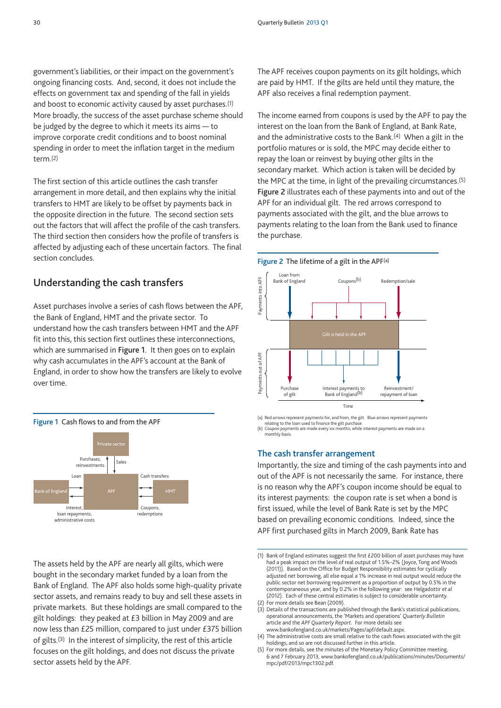government's liabilities, or their impact on the government's ongoing financing costs. And, second, it does not include the effects on government tax and spending of the fall in yields and boost to economic activity caused by asset purchases.(1) More broadly, the success of the asset purchase scheme should be judged by the degree to which it meets its aims — to improve corporate credit conditions and to boost nominal spending in order to meet the inflation target in the medium term.(2)

The first section of this article outlines the cash transfer arrangement in more detail, and then explains why the initial transfers to HMT are likely to be offset by payments back in the opposite direction in the future. The second section sets out the factors that will affect the profile of the cash transfers. The third section then considers how the profile of transfers is affected by adjusting each of these uncertain factors. The final section concludes.

# **Understanding the cash transfers**

Asset purchases involve a series of cash flows between the APF, the Bank of England, HMT and the private sector. To understand how the cash transfers between HMT and the APF fit into this, this section first outlines these interconnections, which are summarised in **Figure 1**. It then goes on to explain why cash accumulates in the APF's account at the Bank of England, in order to show how the transfers are likely to evolve over time.



The assets held by the APF are nearly all gilts, which were bought in the secondary market funded by a loan from the Bank of England. The APF also holds some high-quality private sector assets, and remains ready to buy and sell these assets in private markets. But these holdings are small compared to the gilt holdings: they peaked at £3 billion in May 2009 and are now less than £25 million, compared to just under £375 billion of gilts.(3) In the interest of simplicity, the rest of this article focuses on the gilt holdings, and does not discuss the private sector assets held by the APF.

The APF receives coupon payments on its gilt holdings, which are paid by HMT. If the gilts are held until they mature, the APF also receives a final redemption payment.

The income earned from coupons is used by the APF to pay the interest on the loan from the Bank of England, at Bank Rate, and the administrative costs to the Bank.(4) When a gilt in the portfolio matures or is sold, the MPC may decide either to repay the loan or reinvest by buying other gilts in the secondary market. Which action is taken will be decided by the MPC at the time, in light of the prevailing circumstances.(5) **Figure 2** illustrates each of these payments into and out of the APF for an individual gilt. The red arrows correspond to payments associated with the gilt, and the blue arrows to payments relating to the loan from the Bank used to finance the purchase.





(a) Red arrows represent payments for, and from, the gilt. Blue arrows represent payments

relating to the loan used to finance the gilt purcha (b) Coupon payments are made every six months, while interest payments are made on a monthly basis.

**The cash transfer arrangement**

Importantly, the size and timing of the cash payments into and out of the APF is not necessarily the same. For instance, there is no reason why the APF's coupon income should be equal to its interest payments: the coupon rate is set when a bond is first issued, while the level of Bank Rate is set by the MPC based on prevailing economic conditions. Indeed, since the APF first purchased gilts in March 2009, Bank Rate has

<sup>(1)</sup> Bank of England estimates suggest the first £200 billion of asset purchases may have had a peak impact on the level of real output of 1.5%–2% (Joyce, Tong and Woods (2011)). Based on the Office for Budget Responsibility estimates for cyclically adjusted net borrowing, all else equal a 1% increase in real output would reduce the public sector net borrowing requirement as a proportion of output by 0.5% in the contemporaneous year, and by 0.2% in the following year: see Helgadottir *et al* (2012). Each of these central estimates is subject to considerable uncertainty. (2) For more details see Bean (2009).

<sup>(3)</sup> Details of the transactions are published through the Bank's statistical publications, operational announcements, the 'Markets and operations' *Quarterly Bulletin* article and the *APF Quarterly Report*. For more details see www.bankofengland.co.uk/markets/Pages/apf/default.aspx.

<sup>(4)</sup> The administrative costs are small relative to the cash flows associated with the gilt holdings, and so are not discussed further in this article.

<sup>(5)</sup> For more details, see the minutes of the Monetary Policy Committee meeting, [6 and 7 February 2013, www.bankofengland.co.uk/publications/minutes/Documents/](www.bankofengland.co.uk/publications/minutes/Documents/mpc/pdf/2013/mpc1302.pdf) mpc/pdf/2013/mpc1302.pdf.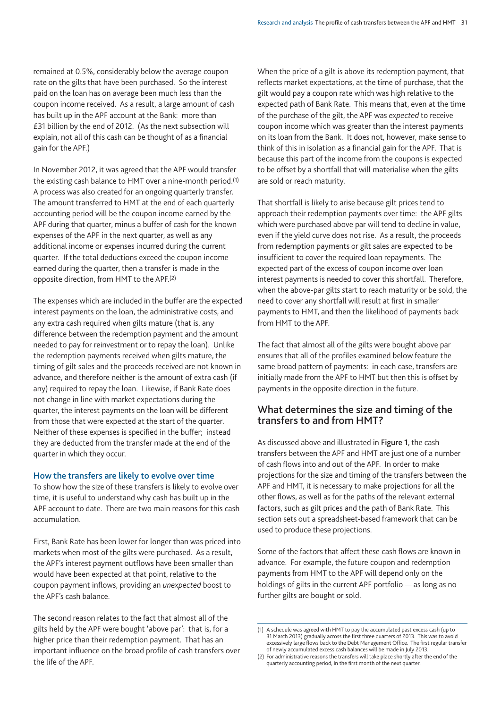remained at 0.5%, considerably below the average coupon rate on the gilts that have been purchased. So the interest paid on the loan has on average been much less than the coupon income received. As a result, a large amount of cash has built up in the APF account at the Bank: more than £31 billion by the end of 2012. (As the next subsection will explain, not all of this cash can be thought of as a financial gain for the APF.)

In November 2012, it was agreed that the APF would transfer the existing cash balance to HMT over a nine-month period.(1) A process was also created for an ongoing quarterly transfer. The amount transferred to HMT at the end of each quarterly accounting period will be the coupon income earned by the APF during that quarter, minus a buffer of cash for the known expenses of the APF in the next quarter, as well as any additional income or expenses incurred during the current quarter. If the total deductions exceed the coupon income earned during the quarter, then a transfer is made in the opposite direction, from HMT to the APF.(2)

The expenses which are included in the buffer are the expected interest payments on the loan, the administrative costs, and any extra cash required when gilts mature (that is, any difference between the redemption payment and the amount needed to pay for reinvestment or to repay the loan). Unlike the redemption payments received when gilts mature, the timing of gilt sales and the proceeds received are not known in advance, and therefore neither is the amount of extra cash (if any) required to repay the loan. Likewise, if Bank Rate does not change in line with market expectations during the quarter, the interest payments on the loan will be different from those that were expected at the start of the quarter. Neither of these expenses is specified in the buffer; instead they are deducted from the transfer made at the end of the quarter in which they occur.

#### **How the transfers are likely to evolve over time**

To show how the size of these transfers is likely to evolve over time, it is useful to understand why cash has built up in the APF account to date. There are two main reasons for this cash accumulation.

First, Bank Rate has been lower for longer than was priced into markets when most of the gilts were purchased. As a result, the APF's interest payment outflows have been smaller than would have been expected at that point, relative to the coupon payment inflows, providing an *unexpected* boost to the APF's cash balance.

The second reason relates to the fact that almost all of the gilts held by the APF were bought 'above par': that is, for a higher price than their redemption payment. That has an important influence on the broad profile of cash transfers over the life of the APF.

When the price of a gilt is above its redemption payment, that reflects market expectations, at the time of purchase, that the gilt would pay a coupon rate which was high relative to the expected path of Bank Rate. This means that, even at the time of the purchase of the gilt, the APF was *expected* to receive coupon income which was greater than the interest payments on its loan from the Bank. It does not, however, make sense to think of this in isolation as a financial gain for the APF. That is because this part of the income from the coupons is expected to be offset by a shortfall that will materialise when the gilts are sold or reach maturity.

That shortfall is likely to arise because gilt prices tend to approach their redemption payments over time: the APF gilts which were purchased above par will tend to decline in value, even if the yield curve does not rise. As a result, the proceeds from redemption payments or gilt sales are expected to be insufficient to cover the required loan repayments. The expected part of the excess of coupon income over loan interest payments is needed to cover this shortfall. Therefore, when the above-par gilts start to reach maturity or be sold, the need to cover any shortfall will result at first in smaller payments to HMT, and then the likelihood of payments back from HMT to the APF.

The fact that almost all of the gilts were bought above par ensures that all of the profiles examined below feature the same broad pattern of payments: in each case, transfers are initially made from the APF to HMT but then this is offset by payments in the opposite direction in the future.

# **What determines the size and timing of the transfers to and from HMT?**

As discussed above and illustrated in **Figure 1**, the cash transfers between the APF and HMT are just one of a number of cash flows into and out of the APF. In order to make projections for the size and timing of the transfers between the APF and HMT, it is necessary to make projections for all the other flows, as well as for the paths of the relevant external factors, such as gilt prices and the path of Bank Rate. This section sets out a spreadsheet-based framework that can be used to produce these projections.

Some of the factors that affect these cash flows are known in advance. For example, the future coupon and redemption payments from HMT to the APF will depend only on the holdings of gilts in the current APF portfolio — as long as no further gilts are bought or sold.

<sup>(1)</sup> A schedule was agreed with HMT to pay the accumulated past excess cash (up to 31 March 2013) gradually across the first three quarters of 2013. This was to avoid excessively large flows back to the Debt Management Office. The first regular transfer of newly accumulated excess cash balances will be made in July 2013.

<sup>(2)</sup> For administrative reasons the transfers will take place shortly after the end of the quarterly accounting period, in the first month of the next quarter.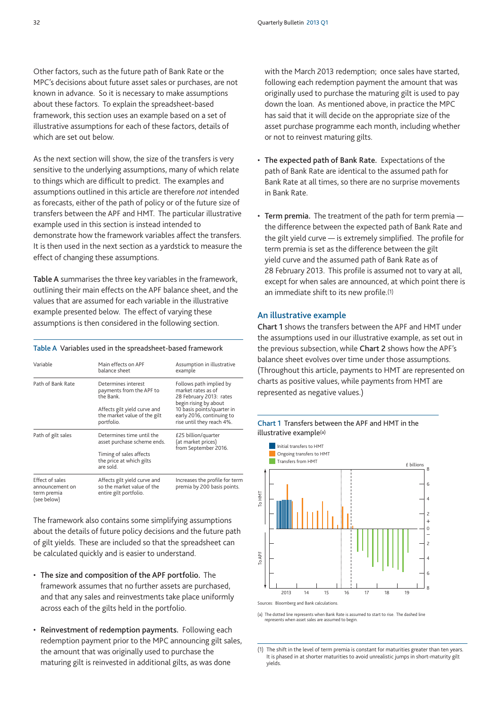Other factors, such as the future path of Bank Rate or the MPC's decisions about future asset sales or purchases, are not known in advance. So it is necessary to make assumptions about these factors. To explain the spreadsheet-based framework, this section uses an example based on a set of illustrative assumptions for each of these factors, details of which are set out below.

As the next section will show, the size of the transfers is very sensitive to the underlying assumptions, many of which relate to things which are difficult to predict. The examples and assumptions outlined in this article are therefore *not* intended as forecasts, either of the path of policy or of the future size of transfers between the APF and HMT. The particular illustrative example used in this section is instead intended to demonstrate how the framework variables affect the transfers. It is then used in the next section as a yardstick to measure the effect of changing these assumptions.

**Table A** summarises the three key variables in the framework, outlining their main effects on the APF balance sheet, and the values that are assumed for each variable in the illustrative example presented below. The effect of varying these assumptions is then considered in the following section.

#### **Table A** Variables used in the spreadsheet-based framework

| Variable                                                                                                                                           | Main effects on APF<br>balance sheet                                                                                                       | Assumption in illustrative<br>example<br>Follows path implied by<br>market rates as of<br>28 February 2013: rates<br>begin rising by about<br>10 basis points/quarter in<br>early 2016, continuing to<br>rise until they reach 4%. |  |
|----------------------------------------------------------------------------------------------------------------------------------------------------|--------------------------------------------------------------------------------------------------------------------------------------------|------------------------------------------------------------------------------------------------------------------------------------------------------------------------------------------------------------------------------------|--|
| Path of Bank Rate                                                                                                                                  | Determines interest<br>payments from the APF to<br>the Bank.<br>Affects gilt yield curve and<br>the market value of the gilt<br>portfolio. |                                                                                                                                                                                                                                    |  |
| Determines time until the<br>Path of gilt sales<br>asset purchase scheme ends.<br>Timing of sales affects<br>the price at which gilts<br>are sold. |                                                                                                                                            | £25 billion/quarter<br>(at market prices)<br>from September 2016.                                                                                                                                                                  |  |
| Effect of sales<br>announcement on<br>term premia<br>(see below)                                                                                   | Affects gilt yield curve and<br>so the market value of the<br>entire gilt portfolio.                                                       | Increases the profile for term<br>premia by 200 basis points.                                                                                                                                                                      |  |

The framework also contains some simplifying assumptions about the details of future policy decisions and the future path of gilt yields. These are included so that the spreadsheet can be calculated quickly and is easier to understand.

- **The size and composition of the APF portfolio.** The framework assumes that no further assets are purchased, and that any sales and reinvestments take place uniformly across each of the gilts held in the portfolio.
- **Reinvestment of redemption payments.** Following each redemption payment prior to the MPC announcing gilt sales, the amount that was originally used to purchase the maturing gilt is reinvested in additional gilts, as was done

with the March 2013 redemption; once sales have started, following each redemption payment the amount that was originally used to purchase the maturing gilt is used to pay down the loan. As mentioned above, in practice the MPC has said that it will decide on the appropriate size of the asset purchase programme each month, including whether or not to reinvest maturing gilts.

- **The expected path of Bank Rate.** Expectations of the path of Bank Rate are identical to the assumed path for Bank Rate at all times, so there are no surprise movements in Bank Rate.
- **Term premia.** The treatment of the path for term premia the difference between the expected path of Bank Rate and the gilt yield curve — is extremely simplified. The profile for term premia is set as the difference between the gilt yield curve and the assumed path of Bank Rate as of 28 February 2013. This profile is assumed not to vary at all, except for when sales are announced, at which point there is an immediate shift to its new profile.(1)

#### **An illustrative example**

**Chart 1** shows the transfers between the APF and HMT under the assumptions used in our illustrative example, as set out in the previous subsection, while **Chart 2** shows how the APF's balance sheet evolves over time under those assumptions. (Throughout this article, payments to HMT are represented on charts as positive values, while payments from HMT are represented as negative values.)





(a) The dotted line represents when Bank Rate is assumed to start to rise. The dashed line represents when asset sales are assumed to begin.

<sup>(1)</sup> The shift in the level of term premia is constant for maturities greater than ten years. It is phased in at shorter maturities to avoid unrealistic jumps in short-maturity gilt yields.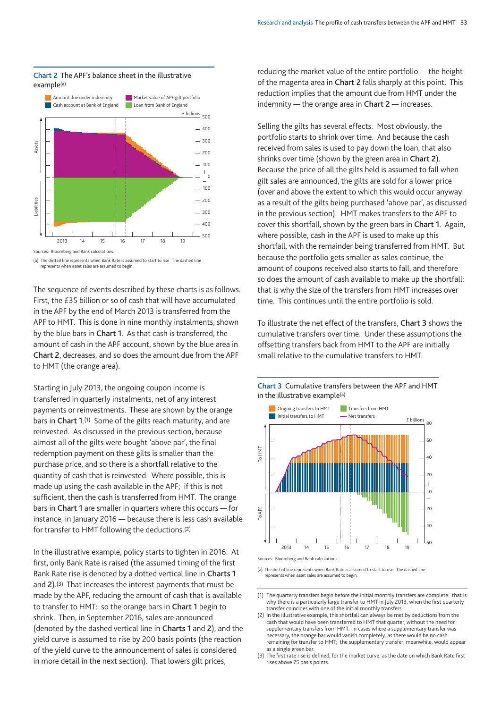

#### **Chart 2** The APF's balance sheet in the illustrative example(a)

Sources: Bloomberg and Bank calculations.

(a) The dotted line represents when Bank Rate is assumed to start to rise. The dashed line represents when asset sales are assumed to begin.

The sequence of events described by these charts is as follows. First, the £35 billion or so of cash that will have accumulated in the APF by the end of March 2013 is transferred from the APF to HMT. This is done in nine monthly instalments, shown by the blue bars in **Chart 1**. As that cash is transferred, the amount of cash in the APF account, shown by the blue area in **Chart 2**, decreases, and so does the amount due from the APF to HMT (the orange area).

Starting in July 2013, the ongoing coupon income is transferred in quarterly instalments, net of any interest payments or reinvestments. These are shown by the orange bars in **Chart 1**.(1) Some of the gilts reach maturity, and are reinvested. As discussed in the previous section, because almost all of the gilts were bought 'above par', the final redemption payment on these gilts is smaller than the purchase price, and so there is a shortfall relative to the quantity of cash that is reinvested. Where possible, this is made up using the cash available in the APF; if this is not sufficient, then the cash is transferred from HMT. The orange bars in **Chart 1** are smaller in quarters where this occurs — for instance, in January 2016 — because there is less cash available for transfer to HMT following the deductions.(2)

In the illustrative example, policy starts to tighten in 2016. At first, only Bank Rate is raised (the assumed timing of the first Bank Rate rise is denoted by a dotted vertical line in **Charts 1** and **2**).(3) That increases the interest payments that must be made by the APF, reducing the amount of cash that is available to transfer to HMT: so the orange bars in **Chart 1** begin to shrink. Then, in September 2016, sales are announced (denoted by the dashed vertical line in **Charts 1** and **2**), and the yield curve is assumed to rise by 200 basis points (the reaction of the yield curve to the announcement of sales is considered in more detail in the next section). That lowers gilt prices,

reducing the market value of the entire portfolio — the height of the magenta area in **Chart 2** falls sharply at this point. This reduction implies that the amount due from HMT under the indemnity — the orange area in **Chart 2** — increases.

Selling the gilts has several effects. Most obviously, the portfolio starts to shrink over time. And because the cash received from sales is used to pay down the loan, that also shrinks over time (shown by the green area in **Chart 2**). Because the price of all the gilts held is assumed to fall when gilt sales are announced, the gilts are sold for a lower price (over and above the extent to which this would occur anyway as a result of the gilts being purchased 'above par', as discussed in the previous section). HMT makes transfers to the APF to cover this shortfall, shown by the green bars in **Chart 1**. Again, where possible, cash in the APF is used to make up this shortfall, with the remainder being transferred from HMT. But because the portfolio gets smaller as sales continue, the amount of coupons received also starts to fall, and therefore so does the amount of cash available to make up the shortfall: that is why the size of the transfers from HMT increases over time. This continues until the entire portfolio is sold.

To illustrate the net effect of the transfers, **Chart 3** shows the cumulative transfers over time. Under these assumptions the offsetting transfers back from HMT to the APF are initially small relative to the cumulative transfers to HMT.





Sources: Bloomberg and Bank calculations.

(a) The dotted line represents when Bank Rate is assumed to start to rise. The dashed line represents when asset sales are assumed to begin.

(1) The quarterly transfers begin before the initial monthly transfers are complete: that is why there is a particularly large transfer to HMT in July 2013, when the first quarterly transfer coincides with one of the initial monthly transfers.

- (2) In the illustrative example, this shortfall can always be met by deductions from the cash that would have been transferred to HMT that quarter, without the need for supplementary transfers from HMT. In cases where a supplementary transfer was necessary, the orange bar would vanish completely, as there would be no cash remaining for transfer to HMT; the supplementary transfer, meanwhile, would appear as a single green bar.
- (3) The first rate rise is defined, for the market curve, as the date on which Bank Rate first rises above 75 basis points.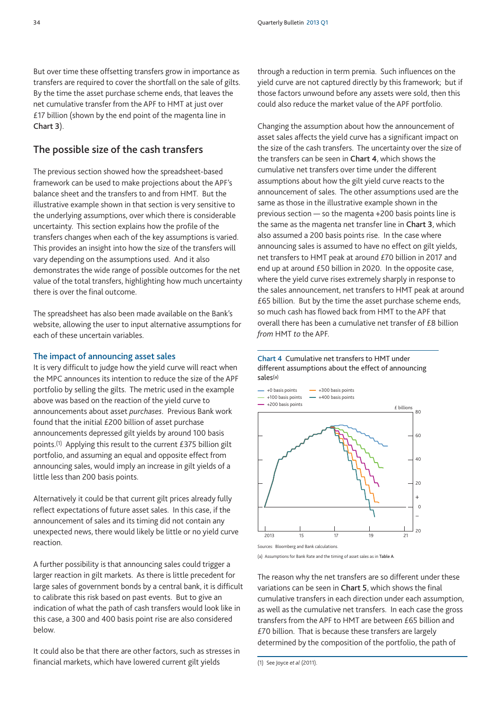But over time these offsetting transfers grow in importance as transfers are required to cover the shortfall on the sale of gilts. By the time the asset purchase scheme ends, that leaves the net cumulative transfer from the APF to HMT at just over £17 billion (shown by the end point of the magenta line in **Chart 3**).

## **The possible size of the cash transfers**

The previous section showed how the spreadsheet-based framework can be used to make projections about the APF's balance sheet and the transfers to and from HMT. But the illustrative example shown in that section is very sensitive to the underlying assumptions, over which there is considerable uncertainty. This section explains how the profile of the transfers changes when each of the key assumptions is varied. This provides an insight into how the size of the transfers will vary depending on the assumptions used. And it also demonstrates the wide range of possible outcomes for the net value of the total transfers, highlighting how much uncertainty there is over the final outcome.

The spreadsheet has also been made available on the Bank's website, allowing the user to input alternative assumptions for each of these uncertain variables.

### **The impact of announcing asset sales**

It is very difficult to judge how the yield curve will react when the MPC announces its intention to reduce the size of the APF portfolio by selling the gilts. The metric used in the example above was based on the reaction of the yield curve to announcements about asset *purchases*. Previous Bank work found that the initial £200 billion of asset purchase announcements depressed gilt yields by around 100 basis points.(1) Applying this result to the current £375 billion gilt portfolio, and assuming an equal and opposite effect from announcing sales, would imply an increase in gilt yields of a little less than 200 basis points.

Alternatively it could be that current gilt prices already fully reflect expectations of future asset sales. In this case, if the announcement of sales and its timing did not contain any unexpected news, there would likely be little or no yield curve reaction.

A further possibility is that announcing sales could trigger a larger reaction in gilt markets. As there is little precedent for large sales of government bonds by a central bank, it is difficult to calibrate this risk based on past events. But to give an indication of what the path of cash transfers would look like in this case, a 300 and 400 basis point rise are also considered below.

It could also be that there are other factors, such as stresses in financial markets, which have lowered current gilt yields

through a reduction in term premia. Such influences on the yield curve are not captured directly by this framework; but if those factors unwound before any assets were sold, then this could also reduce the market value of the APF portfolio.

Changing the assumption about how the announcement of asset sales affects the yield curve has a significant impact on the size of the cash transfers. The uncertainty over the size of the transfers can be seen in **Chart 4**, which shows the cumulative net transfers over time under the different assumptions about how the gilt yield curve reacts to the announcement of sales. The other assumptions used are the same as those in the illustrative example shown in the previous section — so the magenta +200 basis points line is the same as the magenta net transfer line in **Chart 3**, which also assumed a 200 basis points rise. In the case where announcing sales is assumed to have no effect on gilt yields, net transfers to HMT peak at around £70 billion in 2017 and end up at around £50 billion in 2020. In the opposite case, where the yield curve rises extremely sharply in response to the sales announcement, net transfers to HMT peak at around £65 billion. But by the time the asset purchase scheme ends, so much cash has flowed back from HMT to the APF that overall there has been a cumulative net transfer of £8 billion *from* HMT *to* the APF.

#### **Chart 4** Cumulative net transfers to HMT under different assumptions about the effect of announcing sales(a)



Sources: Bloomberg and Bank calculations.

(a) Assumptions for Bank Rate and the timing of asset sales as in **Table A**.

The reason why the net transfers are so different under these variations can be seen in **Chart 5**, which shows the final cumulative transfers in each direction under each assumption, as well as the cumulative net transfers. In each case the gross transfers from the APF to HMT are between £65 billion and £70 billion. That is because these transfers are largely determined by the composition of the portfolio, the path of

<sup>(1)</sup> See Joyce *et al* (2011).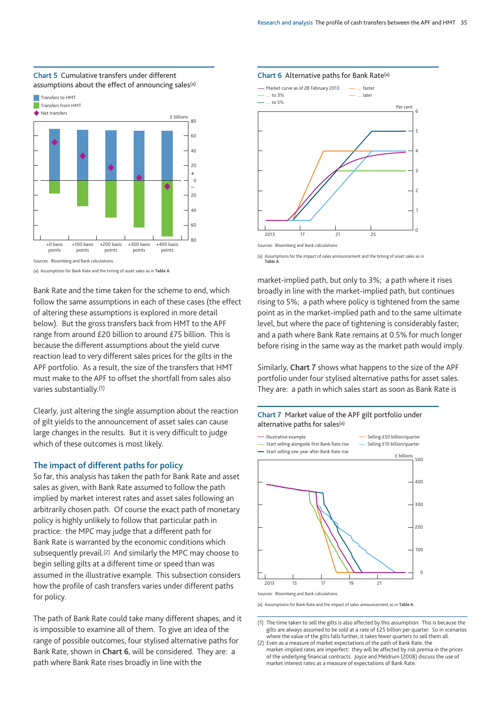

#### **Chart 5** Cumulative transfers under different assumptions about the effect of announcing sales<sup>(a)</sup>

(a) Assumptions for Bank Rate and the timing of asset sales as in **Table A**.

Bank Rate and the time taken for the scheme to end, which follow the same assumptions in each of these cases (the effect of altering these assumptions is explored in more detail below). But the gross transfers back from HMT to the APF range from around £20 billion to around £75 billion. This is because the different assumptions about the yield curve reaction lead to very different sales prices for the gilts in the APF portfolio. As a result, the size of the transfers that HMT must make to the APF to offset the shortfall from sales also varies substantially.(1)

Clearly, just altering the single assumption about the reaction of gilt yields to the announcement of asset sales can cause large changes in the results. But it is very difficult to judge which of these outcomes is most likely.

#### **The impact of different paths for policy**

So far, this analysis has taken the path for Bank Rate and asset sales as given, with Bank Rate assumed to follow the path implied by market interest rates and asset sales following an arbitrarily chosen path. Of course the exact path of monetary policy is highly unlikely to follow that particular path in practice: the MPC may judge that a different path for Bank Rate is warranted by the economic conditions which subsequently prevail.(2) And similarly the MPC may choose to begin selling gilts at a different time or speed than was assumed in the illustrative example. This subsection considers how the profile of cash transfers varies under different paths for policy.

The path of Bank Rate could take many different shapes, and it is impossible to examine all of them. To give an idea of the range of possible outcomes, four stylised alternative paths for Bank Rate, shown in **Chart 6**, will be considered. They are: a path where Bank Rate rises broadly in line with the

#### **Chart 6** Alternative paths for Bank Rate(a)



(a) Assumptions for the impact of sales announcement and the timing of asset sales as in **Table A**.

market-implied path, but only to 3%; a path where it rises broadly in line with the market-implied path, but continues rising to 5%; a path where policy is tightened from the same point as in the market-implied path and to the same ultimate level, but where the pace of tightening is considerably faster; and a path where Bank Rate remains at 0.5% for much longer before rising in the same way as the market path would imply.

Similarly, **Chart 7** shows what happens to the size of the APF portfolio under four stylised alternative paths for asset sales. They are: a path in which sales start as soon as Bank Rate is

#### **Chart 7** Market value of the APF gilt portfolio under alternative paths for sales(a)



(a) Assumptions for Bank Rate and the impact of sales announcement as in **Table A**.

<sup>(1)</sup> The time taken to sell the gilts is also affected by this assumption. This is because the gilts are always assumed to be sold at a rate of £25 billion per quarter. So in scenarios where the value of the gilts falls further, it takes fewer quarters to sell them all.

<sup>(2)</sup> Even as a measure of market expectations of the path of Bank Rate, the market-implied rates are imperfect: they will be affected by risk premia in the prices of the underlying financial contracts. Joyce and Meldrum (2008) discuss the use of market interest rates as a measure of expectations of Bank Rate.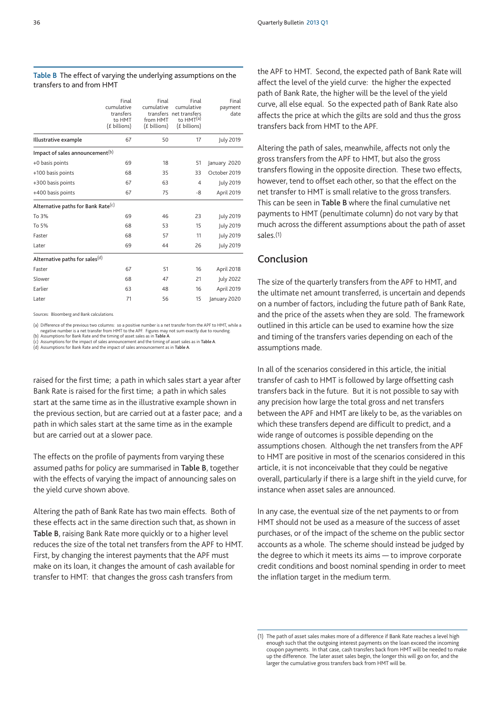|                                             | Final<br>cumulative<br>transfers<br>to HMT<br>(£ billions) | Final<br>cumulative<br>from HMT<br>(£ billions) | Final<br>cumulative<br>transfers net transfers<br>to HMT <sup>(a)</sup><br>(£ billions) | Final<br>payment<br>date |  |  |
|---------------------------------------------|------------------------------------------------------------|-------------------------------------------------|-----------------------------------------------------------------------------------------|--------------------------|--|--|
| Illustrative example                        | 67                                                         | 50                                              | 17                                                                                      | <b>July 2019</b>         |  |  |
| Impact of sales announcement <sup>(b)</sup> |                                                            |                                                 |                                                                                         |                          |  |  |
| +0 basis points                             | 69                                                         | 18                                              | 51                                                                                      | January 2020             |  |  |
| +100 basis points                           | 68                                                         | 35                                              | 33                                                                                      | October 2019             |  |  |
| +300 basis points                           | 67                                                         | 63                                              | 4                                                                                       | July 2019                |  |  |
| +400 basis points                           | 67                                                         | 75                                              | -8                                                                                      | April 2019               |  |  |
| Alternative paths for Bank Rate(c)          |                                                            |                                                 |                                                                                         |                          |  |  |
| To 3%                                       | 69                                                         | 46                                              | 23                                                                                      | July 2019                |  |  |
| To 5%                                       | 68                                                         | 53                                              | 15                                                                                      | <b>July 2019</b>         |  |  |
| Faster                                      | 68                                                         | 57                                              | 11                                                                                      | July 2019                |  |  |
| Later                                       | 69                                                         | 44                                              | 26                                                                                      | <b>July 2019</b>         |  |  |
| Alternative paths for sales <sup>(d)</sup>  |                                                            |                                                 |                                                                                         |                          |  |  |
| Faster                                      | 67                                                         | 51                                              | 16                                                                                      | April 2018               |  |  |
| Slower                                      | 68                                                         | 47                                              | 21                                                                                      | July 2022                |  |  |
| Earlier                                     | 63                                                         | 48                                              | 16                                                                                      | April 2019               |  |  |
| Later                                       | 71                                                         | 56                                              | 15                                                                                      | January 2020             |  |  |

#### **Table B** The effect of varying the underlying assumptions on the transfers to and from HMT

Sources: Bloomberg and Bank calculations.

(a) Difference of the previous two columns: so a positive number is a net transfer from the APF to HMT, while a negative number is a net transfer from HMT to the APF. Figures may not sum exactly due to rounding.

(b) Assumptions for Bank Rate and the timing of asset sales as in T**able A.**<br>(c) Assumptions for the impact of sales announcement and the timing of asset sales as in T**able A.**<br>(d) Assumptions for Bank Rate and the impact

raised for the first time; a path in which sales start a year after Bank Rate is raised for the first time; a path in which sales start at the same time as in the illustrative example shown in the previous section, but are carried out at a faster pace; and a path in which sales start at the same time as in the example but are carried out at a slower pace.

The effects on the profile of payments from varying these assumed paths for policy are summarised in **Table B**, together with the effects of varying the impact of announcing sales on the yield curve shown above.

Altering the path of Bank Rate has two main effects. Both of these effects act in the same direction such that, as shown in **Table B**, raising Bank Rate more quickly or to a higher level reduces the size of the total net transfers from the APF to HMT. First, by changing the interest payments that the APF must make on its loan, it changes the amount of cash available for transfer to HMT: that changes the gross cash transfers from

the APF to HMT. Second, the expected path of Bank Rate will affect the level of the yield curve: the higher the expected path of Bank Rate, the higher will be the level of the yield curve, all else equal. So the expected path of Bank Rate also affects the price at which the gilts are sold and thus the gross transfers back from HMT to the APF.

Altering the path of sales, meanwhile, affects not only the gross transfers from the APF to HMT, but also the gross transfers flowing in the opposite direction. These two effects, however, tend to offset each other, so that the effect on the net transfer to HMT is small relative to the gross transfers. This can be seen in **Table B** where the final cumulative net payments to HMT (penultimate column) do not vary by that much across the different assumptions about the path of asset sales.(1)

## **Conclusion**

The size of the quarterly transfers from the APF to HMT, and the ultimate net amount transferred, is uncertain and depends on a number of factors, including the future path of Bank Rate, and the price of the assets when they are sold. The framework outlined in this article can be used to examine how the size and timing of the transfers varies depending on each of the assumptions made.

In all of the scenarios considered in this article, the initial transfer of cash to HMT is followed by large offsetting cash transfers back in the future. But it is not possible to say with any precision how large the total gross and net transfers between the APF and HMT are likely to be, as the variables on which these transfers depend are difficult to predict, and a wide range of outcomes is possible depending on the assumptions chosen. Although the net transfers from the APF to HMT are positive in most of the scenarios considered in this article, it is not inconceivable that they could be negative overall, particularly if there is a large shift in the yield curve, for instance when asset sales are announced.

In any case, the eventual size of the net payments to or from HMT should not be used as a measure of the success of asset purchases, or of the impact of the scheme on the public sector accounts as a whole. The scheme should instead be judged by the degree to which it meets its aims — to improve corporate credit conditions and boost nominal spending in order to meet the inflation target in the medium term.

<sup>(1)</sup> The path of asset sales makes more of a difference if Bank Rate reaches a level high enough such that the outgoing interest payments on the loan exceed the incoming coupon payments. In that case, cash transfers back from HMT will be needed to make up the difference. The later asset sales begin, the longer this will go on for, and the larger the cumulative gross transfers back from HMT will be.